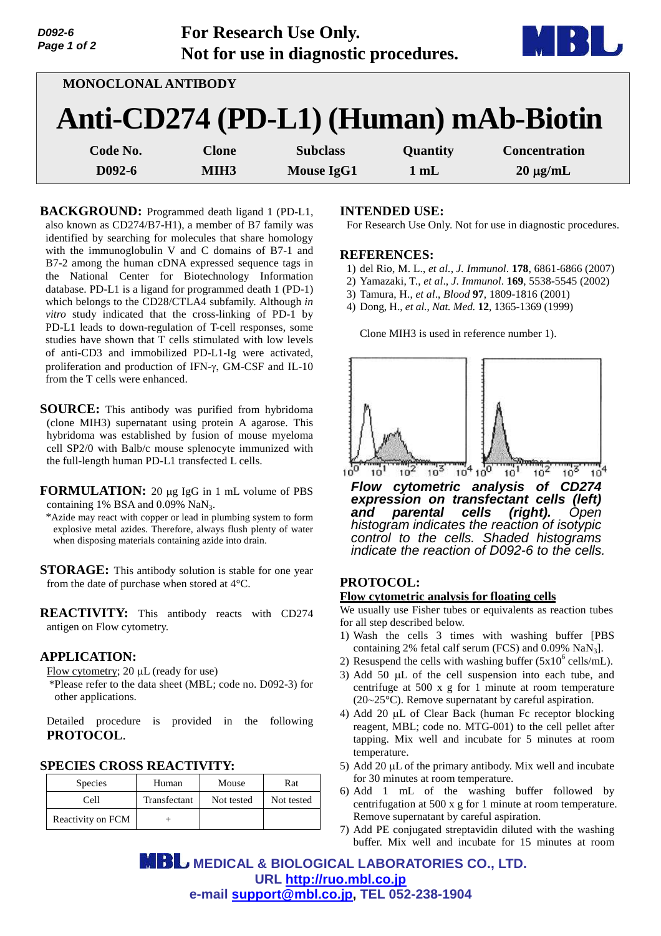| D092-6<br>Page 1 of 2 |                  | For Research Use Only.<br>Not for use in diagnostic procedures. |          | $\mathbf{r}$                          |
|-----------------------|------------------|-----------------------------------------------------------------|----------|---------------------------------------|
| MONOCLONAL ANTIBODY   |                  |                                                                 |          |                                       |
|                       |                  |                                                                 |          | Anti-CD274 (PD-L1) (Human) mAb-Biotin |
| Code No.              | <b>Clone</b>     | <b>Subclass</b>                                                 | Quantity | <b>Concentration</b>                  |
| D092-6                | MIH <sub>3</sub> | <b>Mouse IgG1</b>                                               | 1 mL     | $20 \mu g/mL$                         |

**BACKGROUND:** Programmed death ligand 1 (PD-L1, also known as CD274/B7-H1), a member of B7 family was identified by searching for molecules that share homology with the immunoglobulin V and C domains of B7-1 and B7-2 among the human cDNA expressed sequence tags in the National Center for Biotechnology Information database. PD-L1 is a ligand for programmed death 1 (PD-1) which belongs to the CD28/CTLA4 subfamily. Although *in vitro* study indicated that the cross-linking of PD-1 by PD-L1 leads to down-regulation of T-cell responses, some studies have shown that T cells stimulated with low levels of anti-CD3 and immobilized PD-L1-Ig were activated, proliferation and production of IFN- $\gamma$ , GM-CSF and IL-10 from the T cells were enhanced.

**SOURCE:** This antibody was purified from hybridoma (clone MIH3) supernatant using protein A agarose. This hybridoma was established by fusion of mouse myeloma cell SP2/0 with Balb/c mouse splenocyte immunized with the full-length human PD-L1 transfected L cells.

**FORMULATION:** 20 µg IgG in 1 mL volume of PBS containing 1% BSA and  $0.09\%$  NaN<sub>3</sub>.

\*Azide may react with copper or lead in plumbing system to form explosive metal azides. Therefore, always flush plenty of water when disposing materials containing azide into drain.

**STORAGE:** This antibody solution is stable for one year from the date of purchase when stored at 4°C.

**REACTIVITY:** This antibody reacts with CD274 antigen on Flow cytometry.

## **APPLICATION:**

Flow cytometry;  $20 \mu L$  (ready for use)

\*Please refer to the data sheet (MBL; code no. D092-3) for other applications.

Detailed procedure is provided in the following **PROTOCOL**.

## **SPECIES CROSS REACTIVITY:**

| <b>Species</b>    | Human        | Mouse      | Rat        |
|-------------------|--------------|------------|------------|
| Cell              | Transfectant | Not tested | Not tested |
| Reactivity on FCM |              |            |            |

### **INTENDED USE:**

For Research Use Only. Not for use in diagnostic procedures.

#### **REFERENCES:**

- 1) del Rio, M. L., *et al., J. Immunol*. **178**, 6861-6866 (2007)
- 2) Yamazaki, T., *et al*., *J*. *Immunol*. **169**, 5538-5545 (2002)
- 3) Tamura, H., *et al*., *Blood* **97**, 1809-1816 (2001)
- 4) Dong, H., *et al*., *Nat. Med.* **12**, 1365-1369 (1999)

Clone MIH3 is used in reference number 1).



*and parental cells (right). Open histogram indicates the reaction of isotypic control to the cells. Shaded histograms indicate the reaction of D092-6 to the cells.* 

## **PROTOCOL:**

#### **Flow cytometric analysis for floating cells**

We usually use Fisher tubes or equivalents as reaction tubes for all step described below.

- 1) Wash the cells 3 times with washing buffer [PBS containing 2% fetal calf serum (FCS) and 0.09% NaN3].
- 2) Resuspend the cells with washing buffer  $(5x10^6 \text{ cells/mL})$ .
- 3) Add 50  $\mu$ L of the cell suspension into each tube, and centrifuge at 500 x g for 1 minute at room temperature  $(20~25$ °C). Remove supernatant by careful aspiration.
- 4) Add 20  $\mu$ L of Clear Back (human Fc receptor blocking reagent, MBL; code no. MTG-001) to the cell pellet after tapping. Mix well and incubate for 5 minutes at room temperature.
- 5) Add 20  $\mu$ L of the primary antibody. Mix well and incubate for 30 minutes at room temperature.
- 6) Add 1 mL of the washing buffer followed by centrifugation at 500 x g for 1 minute at room temperature. Remove supernatant by careful aspiration.
- 7) Add PE conjugated streptavidin diluted with the washing buffer. Mix well and incubate for 15 minutes at room

 **MEDICAL & BIOLOGICAL LABORATORIES CO., LTD. URL <http://ruo.mbl.co.jp> e-mail [support@mbl.co.jp,](mailto:support@mbl.co.jp) TEL 052-238-1904**